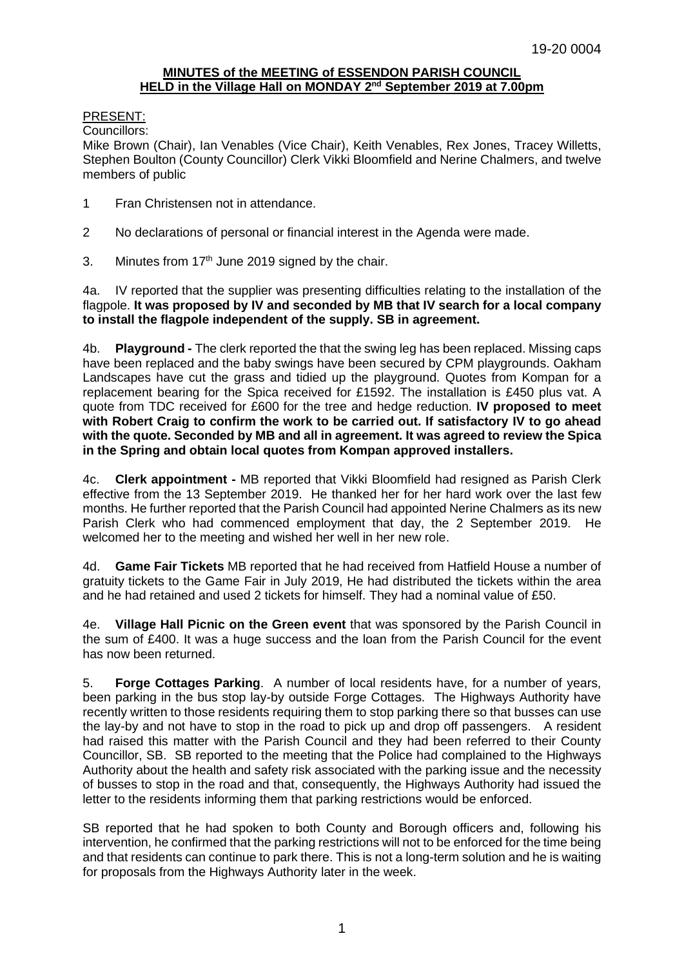# **MINUTES of the MEETING of ESSENDON PARISH COUNCIL HELD in the Village Hall on MONDAY 2 nd September 2019 at 7.00pm**

## PRESENT:

Councillors:

Mike Brown (Chair), Ian Venables (Vice Chair), Keith Venables, Rex Jones, Tracey Willetts, Stephen Boulton (County Councillor) Clerk Vikki Bloomfield and Nerine Chalmers, and twelve members of public

- 1 Fran Christensen not in attendance.
- 2 No declarations of personal or financial interest in the Agenda were made.
- 3. Minutes from  $17<sup>th</sup>$  June 2019 signed by the chair.

4a. IV reported that the supplier was presenting difficulties relating to the installation of the flagpole. **It was proposed by IV and seconded by MB that IV search for a local company to install the flagpole independent of the supply. SB in agreement.** 

4b. **Playground -** The clerk reported the that the swing leg has been replaced. Missing caps have been replaced and the baby swings have been secured by CPM playgrounds. Oakham Landscapes have cut the grass and tidied up the playground. Quotes from Kompan for a replacement bearing for the Spica received for £1592. The installation is £450 plus vat. A quote from TDC received for £600 for the tree and hedge reduction. **IV proposed to meet with Robert Craig to confirm the work to be carried out. If satisfactory IV to go ahead with the quote. Seconded by MB and all in agreement. It was agreed to review the Spica in the Spring and obtain local quotes from Kompan approved installers.** 

4c. **Clerk appointment -** MB reported that Vikki Bloomfield had resigned as Parish Clerk effective from the 13 September 2019. He thanked her for her hard work over the last few months. He further reported that the Parish Council had appointed Nerine Chalmers as its new Parish Clerk who had commenced employment that day, the 2 September 2019. He welcomed her to the meeting and wished her well in her new role.

4d. **Game Fair Tickets** MB reported that he had received from Hatfield House a number of gratuity tickets to the Game Fair in July 2019, He had distributed the tickets within the area and he had retained and used 2 tickets for himself. They had a nominal value of £50.

4e. **Village Hall Picnic on the Green event** that was sponsored by the Parish Council in the sum of £400. It was a huge success and the loan from the Parish Council for the event has now been returned.

5. **Forge Cottages Parking**. A number of local residents have, for a number of years, been parking in the bus stop lay-by outside Forge Cottages. The Highways Authority have recently written to those residents requiring them to stop parking there so that busses can use the lay-by and not have to stop in the road to pick up and drop off passengers. A resident had raised this matter with the Parish Council and they had been referred to their County Councillor, SB. SB reported to the meeting that the Police had complained to the Highways Authority about the health and safety risk associated with the parking issue and the necessity of busses to stop in the road and that, consequently, the Highways Authority had issued the letter to the residents informing them that parking restrictions would be enforced.

SB reported that he had spoken to both County and Borough officers and, following his intervention, he confirmed that the parking restrictions will not to be enforced for the time being and that residents can continue to park there. This is not a long-term solution and he is waiting for proposals from the Highways Authority later in the week.